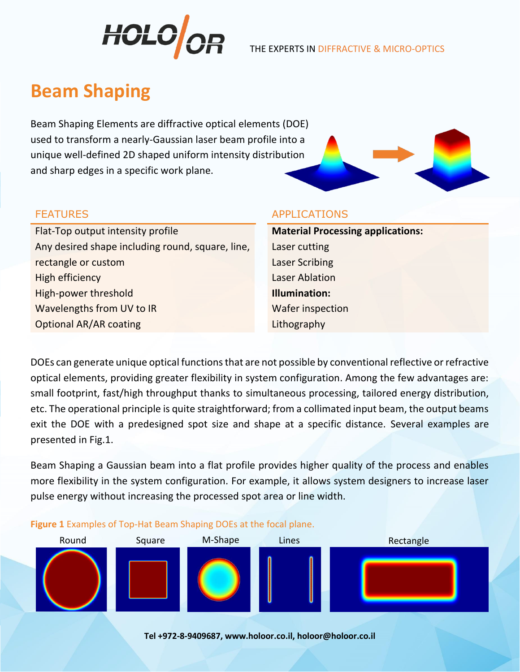

# **Beam Shaping**

Beam Shaping Elements are diffractive optical elements (DOE) used to transform a nearly-Gaussian laser beam profile into a unique well-defined 2D shaped uniform intensity distribution and sharp edges in a specific work plane.



Flat-Top output intensity profile **Material Processing applications:** Any desired shape including round, square, line, rectangle or custom **High efficiency Laser Ablation** High-power threshold **Illumination:** Wavelengths from UV to IR Water inspection **Optional AR/AR coating Lithography** Lithography

### FEATURES APPLICATIONS

Laser cutting Laser Scribing

DOEs can generate unique optical functions that are not possible by conventional reflective or refractive optical elements, providing greater flexibility in system configuration. Among the few advantages are: small footprint, fast/high throughput thanks to simultaneous processing, tailored energy distribution, etc. The operational principle is quite straightforward; from a collimated input beam, the output beams exit the DOE with a predesigned spot size and shape at a specific distance. Several examples are presented in Fig.1.

Beam Shaping a Gaussian beam into a flat profile provides higher quality of the process and enables more flexibility in the system configuration. For example, it allows system designers to increase laser pulse energy without increasing the processed spot area or line width.



**Figure 1** Examples of Top-Hat Beam Shaping DOEs at the focal plane.

**Tel +972-8-9409687, www.holoor.co.il, holoor@holoor.co.il**